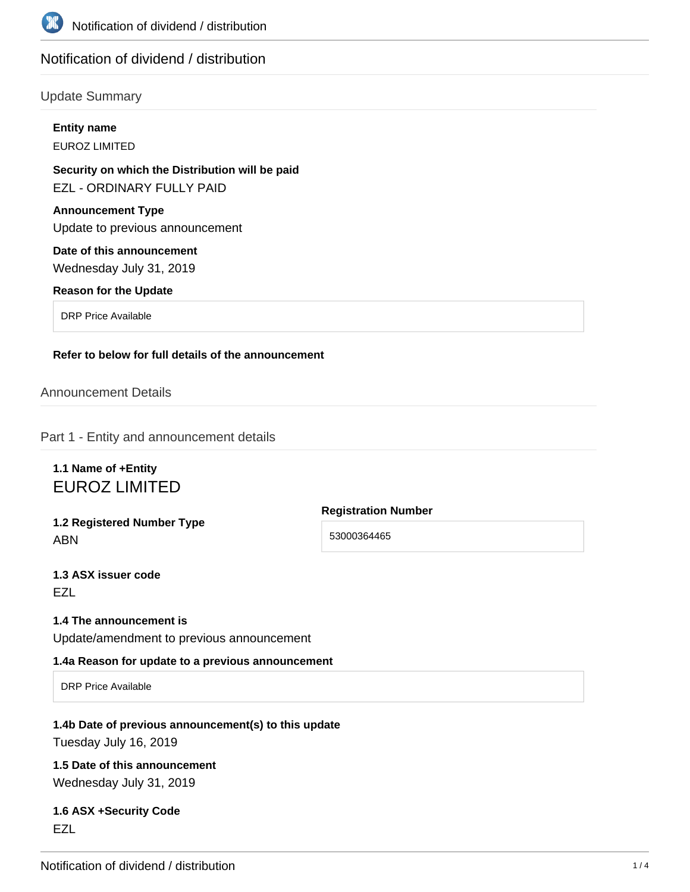

# Notification of dividend / distribution

# Update Summary

| <b>Entity name</b>                                                           |  |
|------------------------------------------------------------------------------|--|
| EUROZ LIMITED                                                                |  |
| Security on which the Distribution will be paid<br>EZL - ORDINARY FULLY PAID |  |
| <b>Announcement Type</b><br>Update to previous announcement                  |  |
| Date of this announcement<br>Wednesday July 31, 2019                         |  |
| <b>Reason for the Update</b>                                                 |  |
| <b>DRP Price Available</b>                                                   |  |
| Refer to below for full details of the announcement                          |  |

# Announcement Details

Part 1 - Entity and announcement details

# **1.1 Name of +Entity** EUROZ LIMITED

**1.2 Registered Number Type** ABN

**Registration Number** 53000364465

**1.3 ASX issuer code** EZL

## **1.4 The announcement is**

Update/amendment to previous announcement

#### **1.4a Reason for update to a previous announcement**

DRP Price Available

#### **1.4b Date of previous announcement(s) to this update**

Tuesday July 16, 2019

# **1.5 Date of this announcement**

Wednesday July 31, 2019

## **1.6 ASX +Security Code** EZL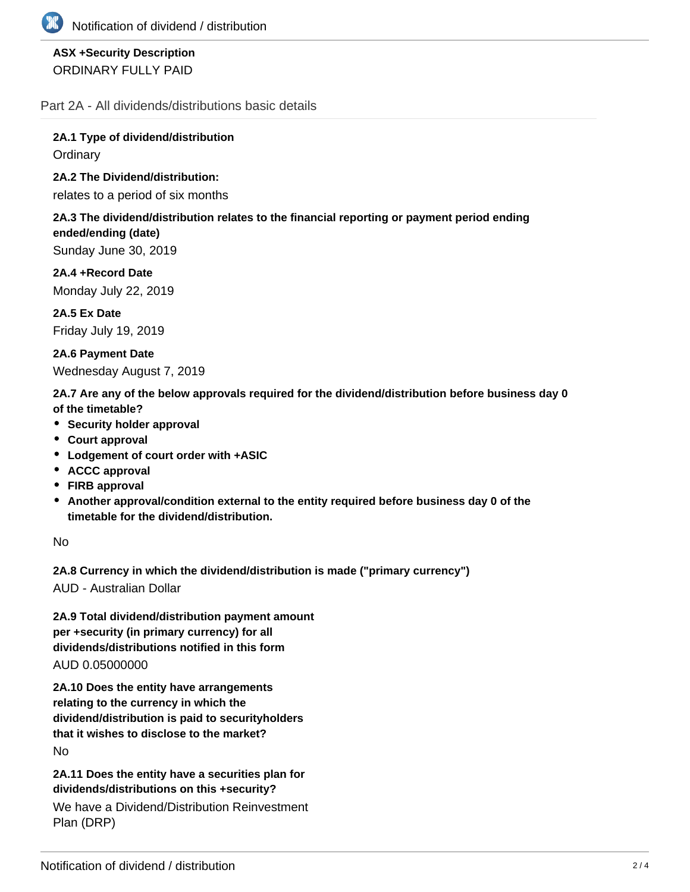# **ASX +Security Description** ORDINARY FULLY PAID

Part 2A - All dividends/distributions basic details

**2A.1 Type of dividend/distribution Ordinary** 

**2A.2 The Dividend/distribution:**

relates to a period of six months

#### **2A.3 The dividend/distribution relates to the financial reporting or payment period ending ended/ending (date)**

Sunday June 30, 2019

**2A.4 +Record Date** Monday July 22, 2019

**2A.5 Ex Date** Friday July 19, 2019

**2A.6 Payment Date** Wednesday August 7, 2019

**2A.7 Are any of the below approvals required for the dividend/distribution before business day 0 of the timetable?**

- **•** Security holder approval
- **Court approval**
- **Lodgement of court order with +ASIC**
- **ACCC approval**
- **FIRB approval**
- **Another approval/condition external to the entity required before business day 0 of the timetable for the dividend/distribution.**

No

**2A.8 Currency in which the dividend/distribution is made ("primary currency")**

AUD - Australian Dollar

**2A.9 Total dividend/distribution payment amount per +security (in primary currency) for all dividends/distributions notified in this form** AUD 0.05000000

**2A.10 Does the entity have arrangements relating to the currency in which the dividend/distribution is paid to securityholders that it wishes to disclose to the market?** No

**2A.11 Does the entity have a securities plan for dividends/distributions on this +security?**

We have a Dividend/Distribution Reinvestment Plan (DRP)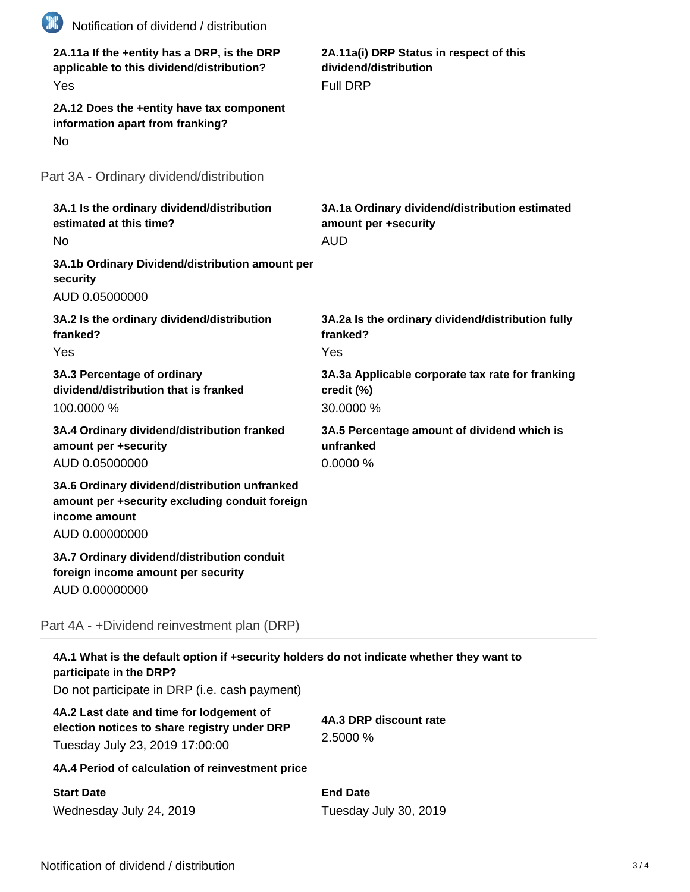| 2A.11a If the +entity has a DRP, is the DRP<br>applicable to this dividend/distribution?<br>Yes<br>2A.12 Does the +entity have tax component                          | 2A.11a(i) DRP Status in respect of this<br>dividend/distribution<br><b>Full DRP</b>  |
|-----------------------------------------------------------------------------------------------------------------------------------------------------------------------|--------------------------------------------------------------------------------------|
| information apart from franking?<br>No                                                                                                                                |                                                                                      |
| Part 3A - Ordinary dividend/distribution                                                                                                                              |                                                                                      |
| 3A.1 Is the ordinary dividend/distribution<br>estimated at this time?<br><b>No</b>                                                                                    | 3A.1a Ordinary dividend/distribution estimated<br>amount per +security<br><b>AUD</b> |
| 3A.1b Ordinary Dividend/distribution amount per<br>security<br>AUD 0.05000000                                                                                         |                                                                                      |
| 3A.2 Is the ordinary dividend/distribution<br>franked?<br>Yes                                                                                                         | 3A.2a Is the ordinary dividend/distribution fully<br>franked?<br>Yes                 |
| 3A.3 Percentage of ordinary<br>dividend/distribution that is franked<br>100.0000 %                                                                                    | 3A.3a Applicable corporate tax rate for franking<br>credit (%)<br>30.0000 %          |
| 3A.4 Ordinary dividend/distribution franked<br>amount per +security<br>AUD 0.05000000                                                                                 | 3A.5 Percentage amount of dividend which is<br>unfranked<br>0.0000%                  |
| 3A.6 Ordinary dividend/distribution unfranked<br>amount per +security excluding conduit foreign<br>income amount<br>AUD 0.00000000                                    |                                                                                      |
| 3A.7 Ordinary dividend/distribution conduit<br>foreign income amount per security<br>AUD 0.00000000                                                                   |                                                                                      |
| Part 4A - +Dividend reinvestment plan (DRP)                                                                                                                           |                                                                                      |
| 4A.1 What is the default option if +security holders do not indicate whether they want to<br>participate in the DRP?<br>Do not participate in DRP (i.e. cash payment) |                                                                                      |
| 4A.2 Last date and time for lodgement of<br>election notices to share registry under DRP<br>Tuesday July 23, 2019 17:00:00                                            | 4A.3 DRP discount rate<br>2.5000 %                                                   |
| 4A.4 Period of calculation of reinvestment price                                                                                                                      |                                                                                      |
|                                                                                                                                                                       |                                                                                      |

**End Date** Tuesday July 30, 2019